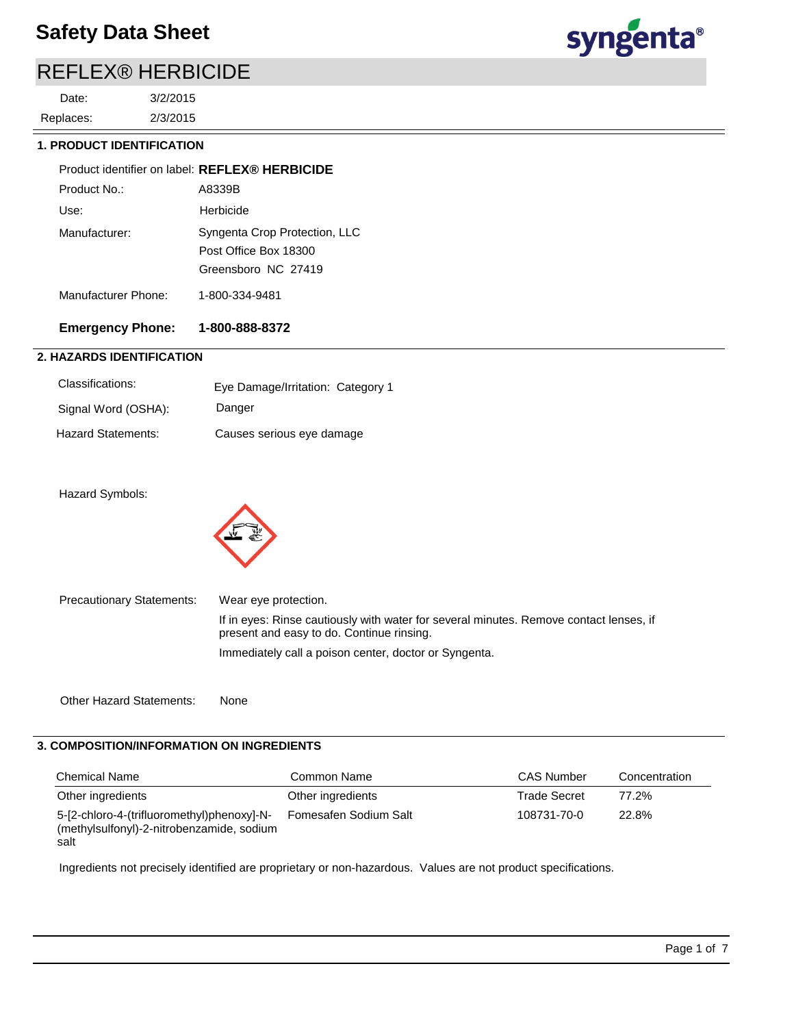# REFLEX® HERBICIDE

2/3/2015 3/2/2015 Replaces: Date:



## **1. PRODUCT IDENTIFICATION**

|                     | Product identifier on label: REFLEX® HERBICIDE                                |
|---------------------|-------------------------------------------------------------------------------|
| Product No.:        | A8339B                                                                        |
| Use:                | Herbicide                                                                     |
| Manufacturer:       | Syngenta Crop Protection, LLC<br>Post Office Box 18300<br>Greensboro NC 27419 |
| Manufacturer Phone: | 1-800-334-9481                                                                |

# **Emergency Phone: 1-800-888-8372**

# **2. HAZARDS IDENTIFICATION**

| Classifications:    | Eye Damage/Irritation: Category 1 |
|---------------------|-----------------------------------|
| Signal Word (OSHA): | Danger                            |
| Hazard Statements:  | Causes serious eye damage         |

Hazard Symbols:



| <b>Precautionary Statements:</b> | Wear eye protection.                                                                                                                |
|----------------------------------|-------------------------------------------------------------------------------------------------------------------------------------|
|                                  | If in eyes: Rinse cautiously with water for several minutes. Remove contact lenses, if<br>present and easy to do. Continue rinsing. |
|                                  | Immediately call a poison center, doctor or Syngenta.                                                                               |

Other Hazard Statements: None

## **3. COMPOSITION/INFORMATION ON INGREDIENTS**

| <b>Chemical Name</b>                                                                            | Common Name           | <b>CAS Number</b>   | Concentration |
|-------------------------------------------------------------------------------------------------|-----------------------|---------------------|---------------|
| Other ingredients                                                                               | Other ingredients     | <b>Trade Secret</b> | 77.2%         |
| 5-[2-chloro-4-(trifluoromethyl)phenoxy]-N-<br>(methylsulfonyl)-2-nitrobenzamide, sodium<br>salt | Fomesafen Sodium Salt | 108731-70-0         | 22.8%         |

Ingredients not precisely identified are proprietary or non-hazardous. Values are not product specifications.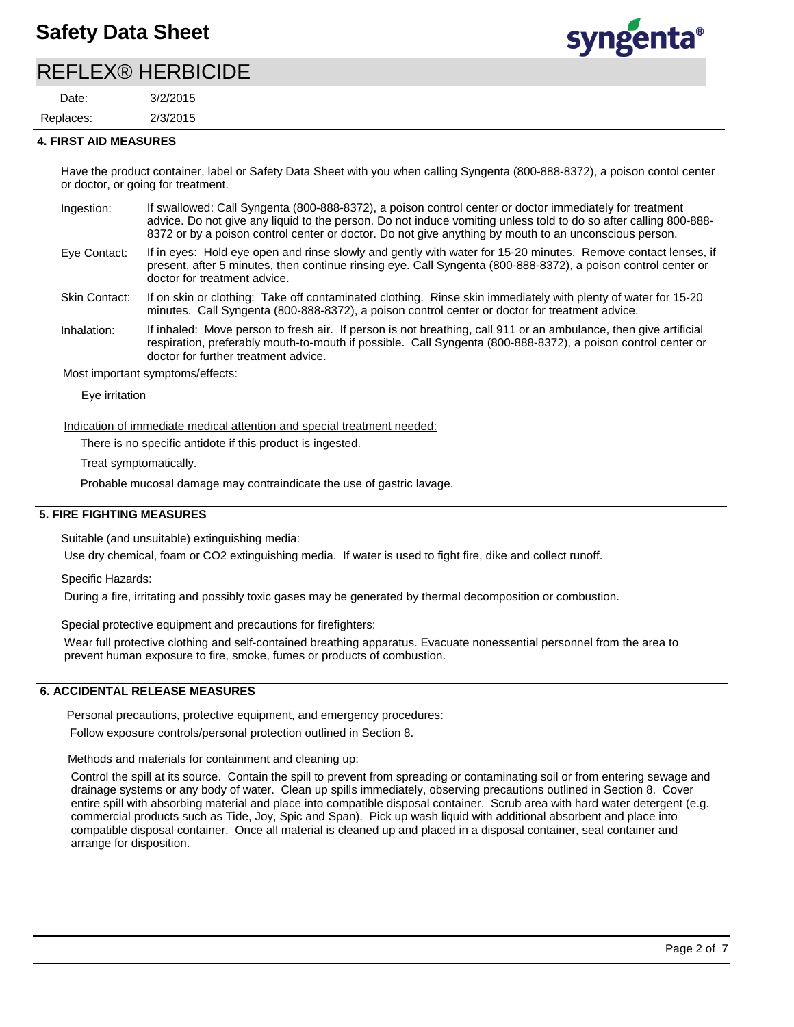# REFLEX® HERBICIDE

2/3/2015 3/2/2015 Replaces: Date:



#### **4. FIRST AID MEASURES**

Have the product container, label or Safety Data Sheet with you when calling Syngenta (800-888-8372), a poison contol center or doctor, or going for treatment.

- If swallowed: Call Syngenta (800-888-8372), a poison control center or doctor immediately for treatment advice. Do not give any liquid to the person. Do not induce vomiting unless told to do so after calling 800-888- 8372 or by a poison control center or doctor. Do not give anything by mouth to an unconscious person. Ingestion:
- If in eyes: Hold eye open and rinse slowly and gently with water for 15-20 minutes. Remove contact lenses, if present, after 5 minutes, then continue rinsing eye. Call Syngenta (800-888-8372), a poison control center or doctor for treatment advice. Eye Contact:

If on skin or clothing: Take off contaminated clothing. Rinse skin immediately with plenty of water for 15-20 minutes. Call Syngenta (800-888-8372), a poison control center or doctor for treatment advice. Skin Contact:

If inhaled: Move person to fresh air. If person is not breathing, call 911 or an ambulance, then give artificial respiration, preferably mouth-to-mouth if possible. Call Syngenta (800-888-8372), a poison control center or doctor for further treatment advice. Inhalation:

Most important symptoms/effects:

Eye irritation

Indication of immediate medical attention and special treatment needed:

There is no specific antidote if this product is ingested.

Treat symptomatically.

Probable mucosal damage may contraindicate the use of gastric lavage.

#### **5. FIRE FIGHTING MEASURES**

Suitable (and unsuitable) extinguishing media:

Use dry chemical, foam or CO2 extinguishing media. If water is used to fight fire, dike and collect runoff.

Specific Hazards:

During a fire, irritating and possibly toxic gases may be generated by thermal decomposition or combustion.

Special protective equipment and precautions for firefighters:

Wear full protective clothing and self-contained breathing apparatus. Evacuate nonessential personnel from the area to prevent human exposure to fire, smoke, fumes or products of combustion.

## **6. ACCIDENTAL RELEASE MEASURES**

Personal precautions, protective equipment, and emergency procedures:

Follow exposure controls/personal protection outlined in Section 8.

Methods and materials for containment and cleaning up:

Control the spill at its source. Contain the spill to prevent from spreading or contaminating soil or from entering sewage and drainage systems or any body of water. Clean up spills immediately, observing precautions outlined in Section 8. Cover entire spill with absorbing material and place into compatible disposal container. Scrub area with hard water detergent (e.g. commercial products such as Tide, Joy, Spic and Span). Pick up wash liquid with additional absorbent and place into compatible disposal container. Once all material is cleaned up and placed in a disposal container, seal container and arrange for disposition.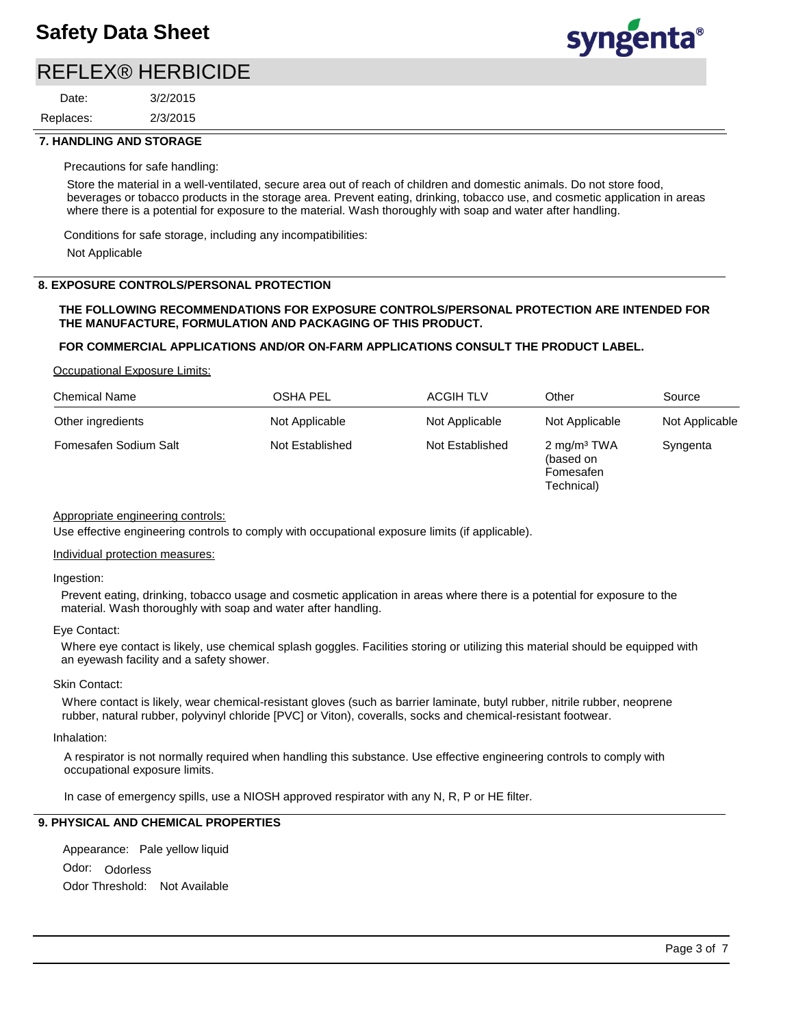# REFLEX® HERBICIDE

2/3/2015 3/2/2015 Replaces: Date:



#### **7. HANDLING AND STORAGE**

Precautions for safe handling:

Store the material in a well-ventilated, secure area out of reach of children and domestic animals. Do not store food, beverages or tobacco products in the storage area. Prevent eating, drinking, tobacco use, and cosmetic application in areas where there is a potential for exposure to the material. Wash thoroughly with soap and water after handling.

Conditions for safe storage, including any incompatibilities:

Not Applicable

### **8. EXPOSURE CONTROLS/PERSONAL PROTECTION**

#### **THE FOLLOWING RECOMMENDATIONS FOR EXPOSURE CONTROLS/PERSONAL PROTECTION ARE INTENDED FOR THE MANUFACTURE, FORMULATION AND PACKAGING OF THIS PRODUCT.**

### **FOR COMMERCIAL APPLICATIONS AND/OR ON-FARM APPLICATIONS CONSULT THE PRODUCT LABEL.**

Occupational Exposure Limits:

| <b>Chemical Name</b>  | <b>OSHA PEL</b> | <b>ACGIH TLV</b> | Other                                                           | Source         |
|-----------------------|-----------------|------------------|-----------------------------------------------------------------|----------------|
| Other ingredients     | Not Applicable  | Not Applicable   | Not Applicable                                                  | Not Applicable |
| Fomesafen Sodium Salt | Not Established | Not Established  | 2 mg/m <sup>3</sup> TWA<br>(based on<br>Fomesafen<br>Technical) | Syngenta       |

### Appropriate engineering controls:

Use effective engineering controls to comply with occupational exposure limits (if applicable).

#### Individual protection measures:

Ingestion:

Prevent eating, drinking, tobacco usage and cosmetic application in areas where there is a potential for exposure to the material. Wash thoroughly with soap and water after handling.

### Eye Contact:

Where eye contact is likely, use chemical splash goggles. Facilities storing or utilizing this material should be equipped with an eyewash facility and a safety shower.

#### Skin Contact:

Where contact is likely, wear chemical-resistant gloves (such as barrier laminate, butyl rubber, nitrile rubber, neoprene rubber, natural rubber, polyvinyl chloride [PVC] or Viton), coveralls, socks and chemical-resistant footwear.

#### Inhalation:

A respirator is not normally required when handling this substance. Use effective engineering controls to comply with occupational exposure limits.

In case of emergency spills, use a NIOSH approved respirator with any N, R, P or HE filter.

# **9. PHYSICAL AND CHEMICAL PROPERTIES**

Odor: Odorless Appearance: Pale yellow liquid Odor Threshold: Not Available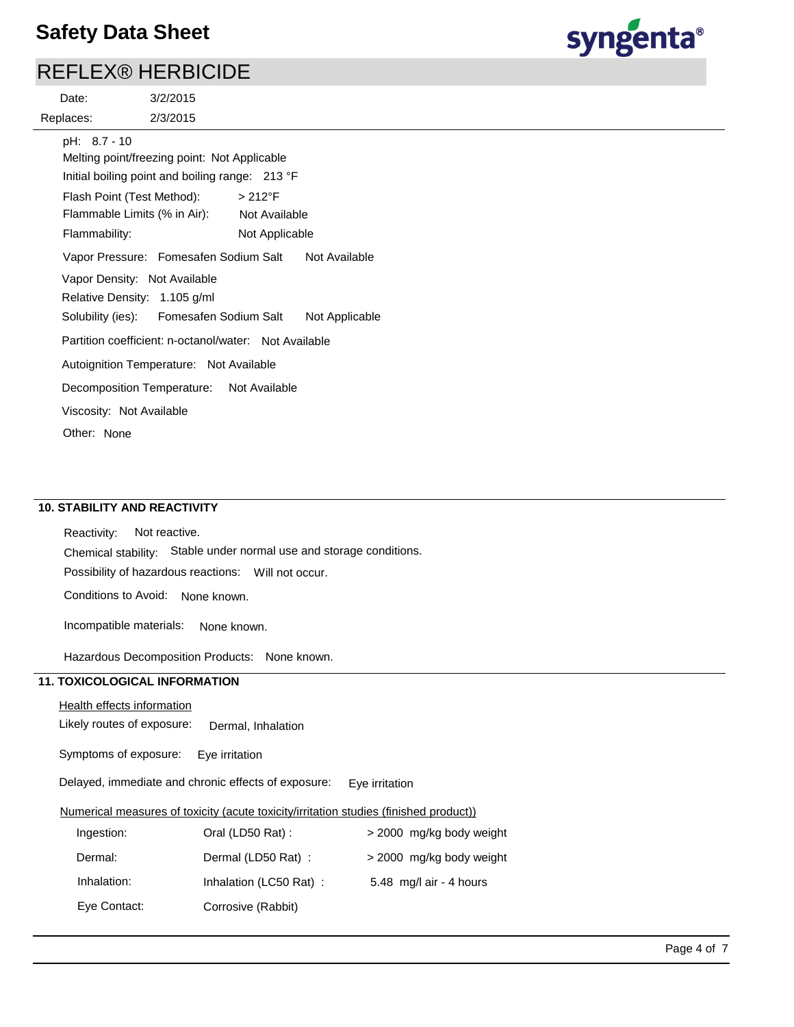# REFLEX® HERBICIDE

syngenta®

| Date:                                                        | 3/2/2015                                                                                                                                                                                |                                 |                |
|--------------------------------------------------------------|-----------------------------------------------------------------------------------------------------------------------------------------------------------------------------------------|---------------------------------|----------------|
| Replaces:                                                    | 2/3/2015                                                                                                                                                                                |                                 |                |
| pH: 8.7 - 10<br>Flash Point (Test Method):                   | Melting point/freezing point: Not Applicable<br>Initial boiling point and boiling range: 213 °F                                                                                         | $>212^{\circ}F$                 |                |
| Flammability:                                                | Flammable Limits (% in Air):                                                                                                                                                            | Not Available<br>Not Applicable |                |
| Vapor Density: Not Available<br>Relative Density: 1.105 g/ml | Vapor Pressure: Fomesafen Sodium Salt                                                                                                                                                   |                                 | Not Available  |
|                                                              | Solubility (ies): Fomesafen Sodium Salt<br>Partition coefficient: n-octanol/water: Not Available<br>Autoignition Temperature: Not Available<br>Decomposition Temperature: Not Available |                                 | Not Applicable |
| Viscosity: Not Available<br>Other: None                      |                                                                                                                                                                                         |                                 |                |

# **10. STABILITY AND REACTIVITY**

Possibility of hazardous reactions: Will not occur. Chemical stability: Stable under normal use and storage conditions. Reactivity: Not reactive. Conditions to Avoid: None known.

Incompatible materials: None known.

Hazardous Decomposition Products: None known.

# **11. TOXICOLOGICAL INFORMATION**

## Health effects information

Likely routes of exposure: Dermal, Inhalation

Symptoms of exposure: Eye irritation

Delayed, immediate and chronic effects of exposure: Eye irritation

## Numerical measures of toxicity (acute toxicity/irritation studies (finished product))

| Ingestion:   | Oral (LD50 Rat):       | > 2000 mg/kg body weight |
|--------------|------------------------|--------------------------|
| Dermal:      | Dermal (LD50 Rat):     | > 2000 mg/kg body weight |
| Inhalation:  | Inhalation (LC50 Rat): | 5.48 mg/l air - 4 hours  |
| Eye Contact: | Corrosive (Rabbit)     |                          |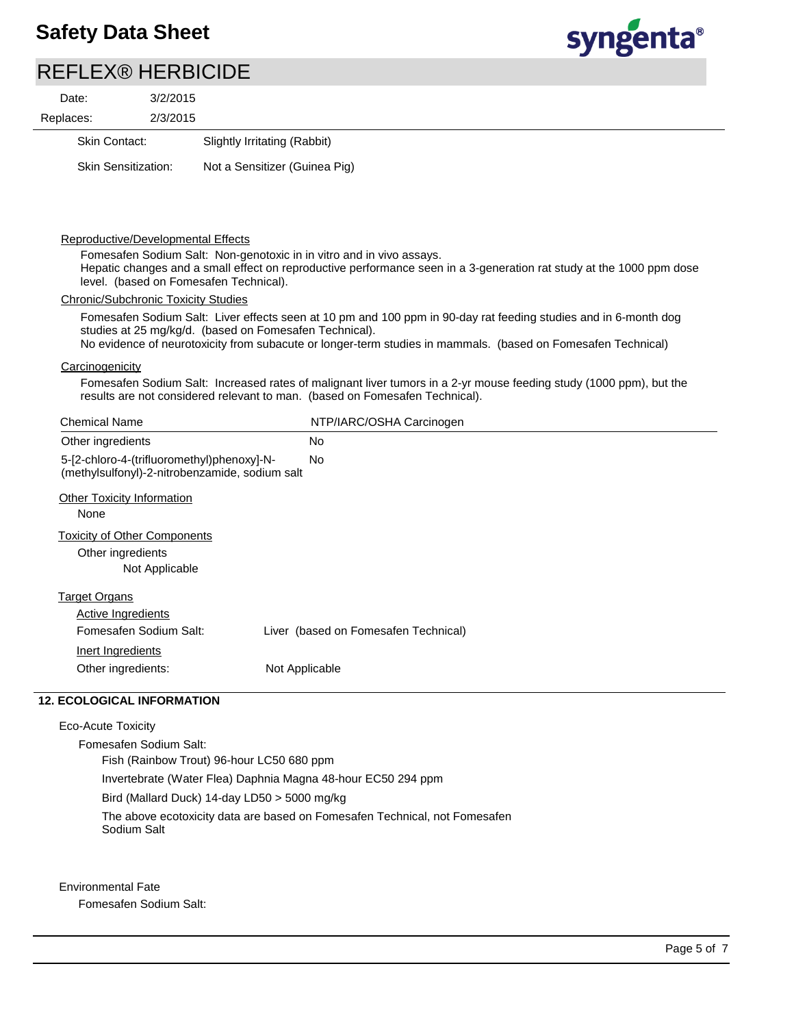

# REFLEX® HERBICIDE

| Date:     | 3/2/2015                   |                               |
|-----------|----------------------------|-------------------------------|
| Replaces: | 2/3/2015                   |                               |
|           | <b>Skin Contact:</b>       | Slightly Irritating (Rabbit)  |
|           | <b>Skin Sensitization:</b> | Not a Sensitizer (Guinea Pig) |

#### Reproductive/Developmental Effects

Fomesafen Sodium Salt: Non-genotoxic in in vitro and in vivo assays. Hepatic changes and a small effect on reproductive performance seen in a 3-generation rat study at the 1000 ppm dose level. (based on Fomesafen Technical).

## Chronic/Subchronic Toxicity Studies

Fomesafen Sodium Salt: Liver effects seen at 10 pm and 100 ppm in 90-day rat feeding studies and in 6-month dog studies at 25 mg/kg/d. (based on Fomesafen Technical). No evidence of neurotoxicity from subacute or longer-term studies in mammals. (based on Fomesafen Technical)

#### **Carcinogenicity**

Fomesafen Sodium Salt: Increased rates of malignant liver tumors in a 2-yr mouse feeding study (1000 ppm), but the results are not considered relevant to man. (based on Fomesafen Technical).

| <b>Chemical Name</b>                                                                         | NTP/IARC/OSHA Carcinogen             |  |
|----------------------------------------------------------------------------------------------|--------------------------------------|--|
| Other ingredients                                                                            | <b>No</b>                            |  |
| 5-[2-chloro-4-(trifluoromethyl)phenoxy]-N-<br>(methylsulfonyl)-2-nitrobenzamide, sodium salt | No                                   |  |
| <b>Other Toxicity Information</b><br>None                                                    |                                      |  |
| <b>Toxicity of Other Components</b><br>Other ingredients<br>Not Applicable                   |                                      |  |
| <b>Target Organs</b><br>Active Ingredients<br>Fomesafen Sodium Salt:                         | Liver (based on Fomesafen Technical) |  |
| Inert Ingredients<br>Other ingredients:                                                      | Not Applicable                       |  |

# **12. ECOLOGICAL INFORMATION**

Eco-Acute Toxicity Fomesafen Sodium Salt: Fish (Rainbow Trout) 96-hour LC50 680 ppm Invertebrate (Water Flea) Daphnia Magna 48-hour EC50 294 ppm Bird (Mallard Duck) 14-day LD50 > 5000 mg/kg The above ecotoxicity data are based on Fomesafen Technical, not Fomesafen Sodium Salt

Environmental Fate

Fomesafen Sodium Salt: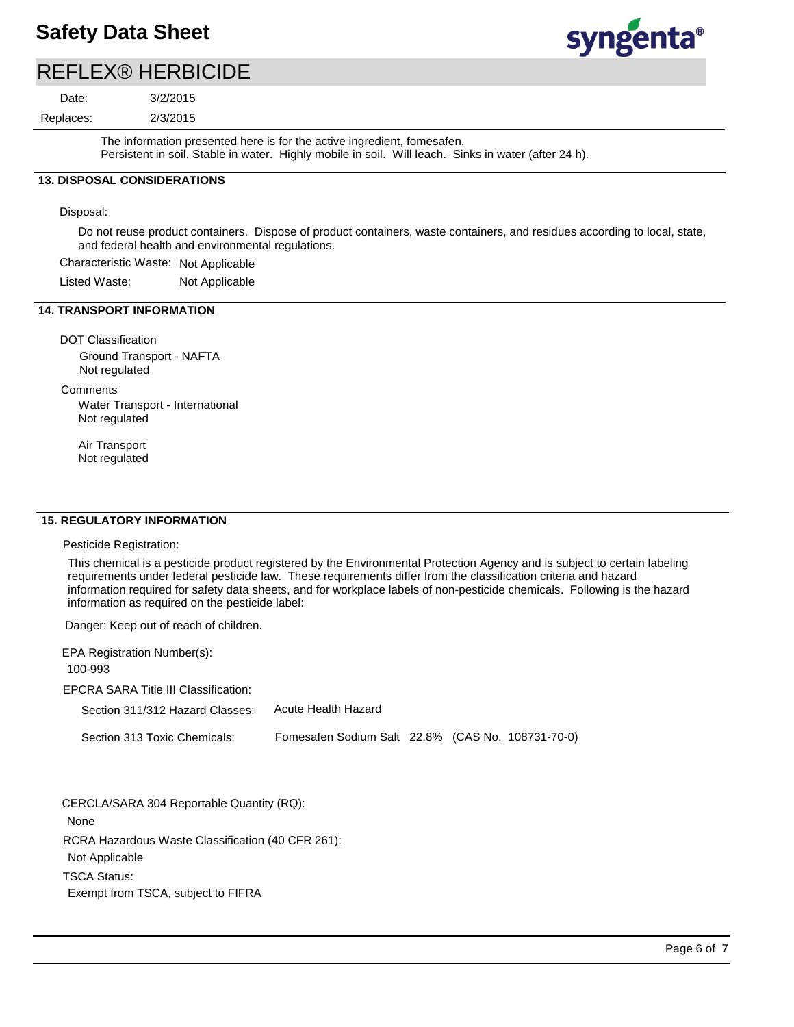

# REFLEX® HERBICIDE

Replaces: Date:

2/3/2015 3/2/2015

The information presented here is for the active ingredient, fomesafen. Persistent in soil. Stable in water. Highly mobile in soil. Will leach. Sinks in water (after 24 h).

# **13. DISPOSAL CONSIDERATIONS**

Disposal:

Do not reuse product containers. Dispose of product containers, waste containers, and residues according to local, state, and federal health and environmental regulations.

Characteristic Waste: Not Applicable

Listed Waste: Not Applicable

### **14. TRANSPORT INFORMATION**

DOT Classification Ground Transport - NAFTA Not regulated

**Comments** 

Water Transport - International Not regulated

Air Transport Not regulated

### **15. REGULATORY INFORMATION**

Pesticide Registration:

This chemical is a pesticide product registered by the Environmental Protection Agency and is subject to certain labeling requirements under federal pesticide law. These requirements differ from the classification criteria and hazard information required for safety data sheets, and for workplace labels of non-pesticide chemicals. Following is the hazard information as required on the pesticide label:

Danger: Keep out of reach of children.

| EPA Registration Number(s):          |                                                   |  |  |
|--------------------------------------|---------------------------------------------------|--|--|
| 100-993                              |                                                   |  |  |
| EPCRA SARA Title III Classification: |                                                   |  |  |
| Section 311/312 Hazard Classes:      | Acute Health Hazard                               |  |  |
| Section 313 Toxic Chemicals:         | Fomesafen Sodium Salt 22.8% (CAS No. 108731-70-0) |  |  |

RCRA Hazardous Waste Classification (40 CFR 261): Not Applicable TSCA Status: CERCLA/SARA 304 Reportable Quantity (RQ): None

Exempt from TSCA, subject to FIFRA